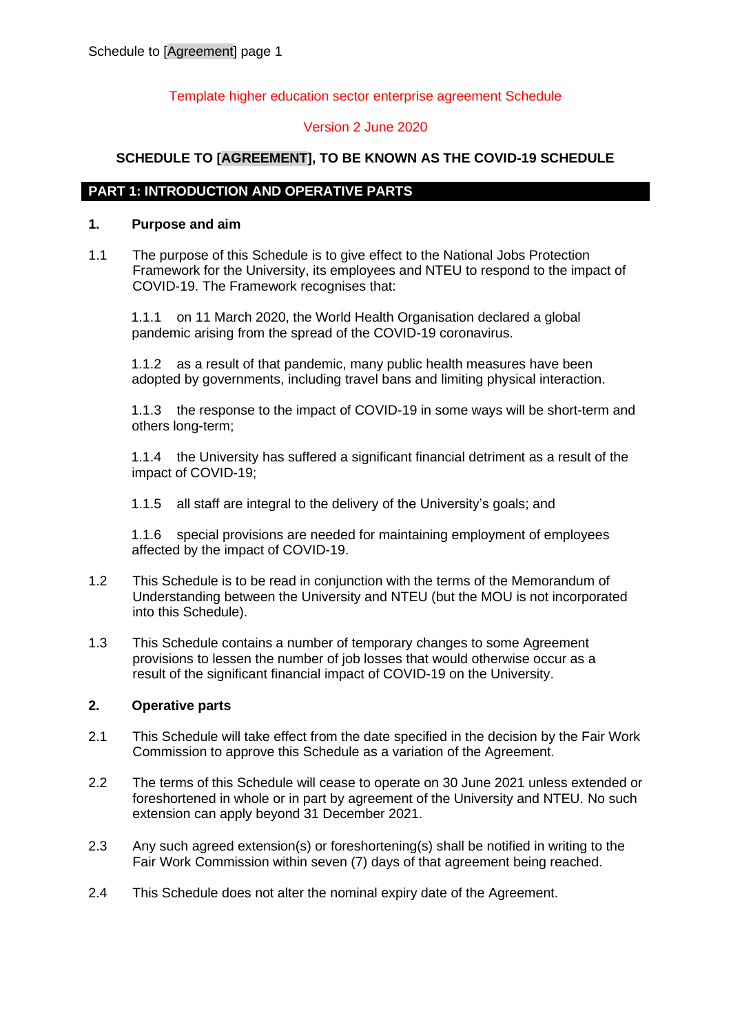### Template higher education sector enterprise agreement Schedule

### Version 2 June 2020

## **SCHEDULE TO [AGREEMENT], TO BE KNOWN AS THE COVID-19 SCHEDULE**

### **PART 1: INTRODUCTION AND OPERATIVE PARTS**

#### <span id="page-0-0"></span>**1. Purpose and aim**

1.1 The purpose of this Schedule is to give effect to the National Jobs Protection Framework for the University, its employees and NTEU to respond to the impact of COVID-19. The Framework recognises that:

1.1.1 on 11 March 2020, the World Health Organisation declared a global pandemic arising from the spread of the COVID-19 coronavirus.

1.1.2 as a result of that pandemic, many public health measures have been adopted by governments, including travel bans and limiting physical interaction.

1.1.3 the response to the impact of COVID-19 in some ways will be short-term and others long-term;

1.1.4 the University has suffered a significant financial detriment as a result of the impact of COVID-19;

1.1.5 all staff are integral to the delivery of the University's goals; and

1.1.6 special provisions are needed for maintaining employment of employees affected by the impact of COVID-19.

- 1.2 This Schedule is to be read in conjunction with the terms of the Memorandum of Understanding between the University and NTEU (but the MOU is not incorporated into this Schedule).
- 1.3 This Schedule contains a number of temporary changes to some Agreement provisions to lessen the number of job losses that would otherwise occur as a result of the significant financial impact of COVID-19 on the University.

### **2. Operative parts**

- 2.1 This Schedule will take effect from the date specified in the decision by the Fair Work Commission to approve this Schedule as a variation of the Agreement.
- 2.2 The terms of this Schedule will cease to operate on 30 June 2021 unless extended or foreshortened in whole or in part by agreement of the University and NTEU. No such extension can apply beyond 31 December 2021.
- 2.3 Any such agreed extension(s) or foreshortening(s) shall be notified in writing to the Fair Work Commission within seven (7) days of that agreement being reached.
- 2.4 This Schedule does not alter the nominal expiry date of the Agreement.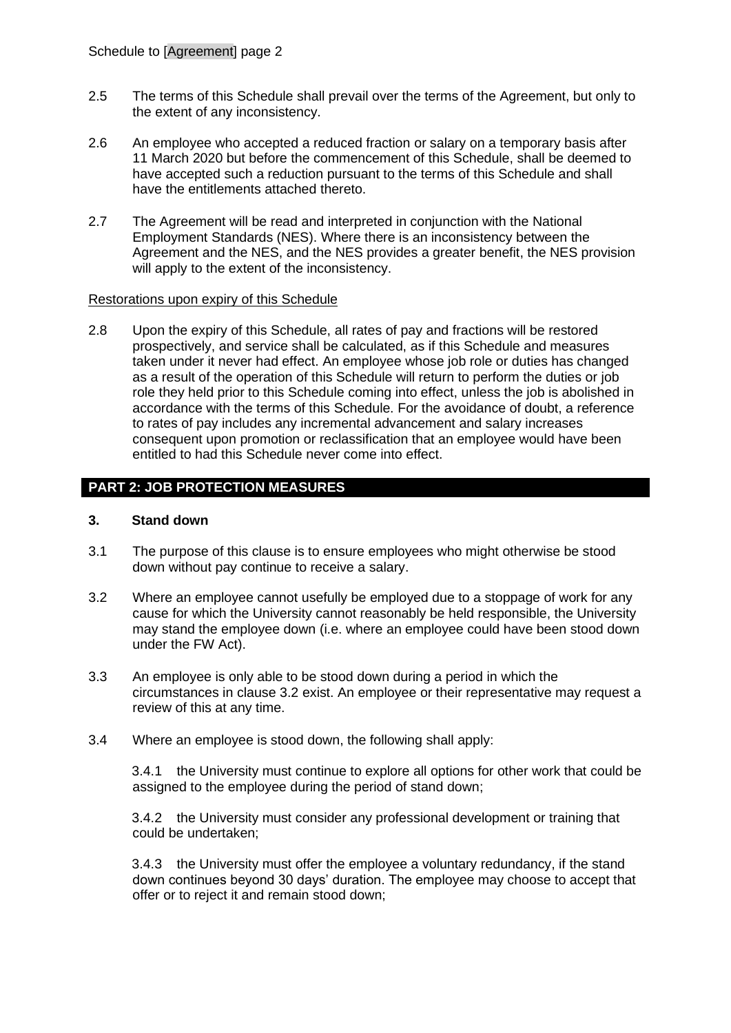- 2.5 The terms of this Schedule shall prevail over the terms of the Agreement, but only to the extent of any inconsistency.
- 2.6 An employee who accepted a reduced fraction or salary on a temporary basis after 11 March 2020 but before the commencement of this Schedule, shall be deemed to have accepted such a reduction pursuant to the terms of this Schedule and shall have the entitlements attached thereto.
- 2.7 The Agreement will be read and interpreted in conjunction with the National Employment Standards (NES). Where there is an inconsistency between the Agreement and the NES, and the NES provides a greater benefit, the NES provision will apply to the extent of the inconsistency.

### Restorations upon expiry of this Schedule

2.8 Upon the expiry of this Schedule, all rates of pay and fractions will be restored prospectively, and service shall be calculated, as if this Schedule and measures taken under it never had effect. An employee whose job role or duties has changed as a result of the operation of this Schedule will return to perform the duties or job role they held prior to this Schedule coming into effect, unless the job is abolished in accordance with the terms of this Schedule. For the avoidance of doubt, a reference to rates of pay includes any incremental advancement and salary increases consequent upon promotion or reclassification that an employee would have been entitled to had this Schedule never come into effect.

## **PART 2: JOB PROTECTION MEASURES**

### <span id="page-1-1"></span>**3. Stand down**

- 3.1 The purpose of this clause is to ensure employees who might otherwise be stood down without pay continue to receive a salary.
- <span id="page-1-0"></span>3.2 Where an employee cannot usefully be employed due to a stoppage of work for any cause for which the University cannot reasonably be held responsible, the University may stand the employee down (i.e. where an employee could have been stood down under the FW Act).
- 3.3 An employee is only able to be stood down during a period in which the circumstances in clause [3.2](#page-1-0) exist. An employee or their representative may request a review of this at any time.
- 3.4 Where an employee is stood down, the following shall apply:

3.4.1 the University must continue to explore all options for other work that could be assigned to the employee during the period of stand down;

3.4.2 the University must consider any professional development or training that could be undertaken;

3.4.3 the University must offer the employee a voluntary redundancy, if the stand down continues beyond 30 days' duration. The employee may choose to accept that offer or to reject it and remain stood down;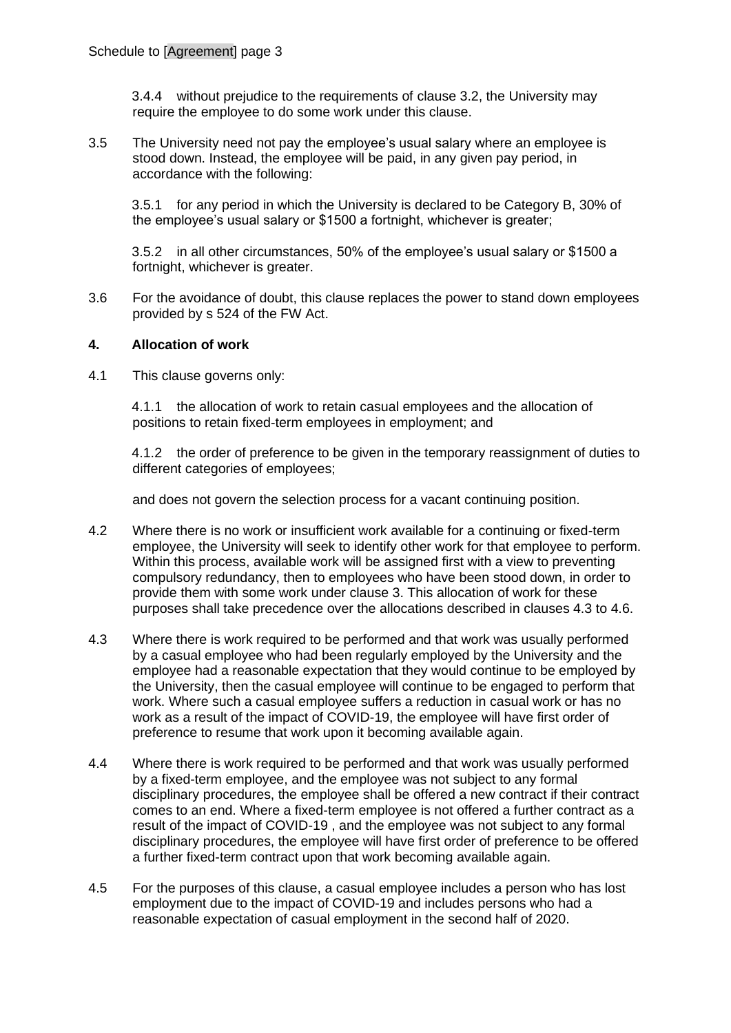3.4.4 without prejudice to the requirements of clause 3.2, the University may require the employee to do some work under this clause.

3.5 The University need not pay the employee's usual salary where an employee is stood down. Instead, the employee will be paid, in any given pay period, in accordance with the following:

3.5.1 for any period in which the University is declared to be Category B, 30% of the employee's usual salary or \$1500 a fortnight, whichever is greater;

3.5.2 in all other circumstances, 50% of the employee's usual salary or \$1500 a fortnight, whichever is greater.

3.6 For the avoidance of doubt, this clause replaces the power to stand down employees provided by s 524 of the FW Act.

### <span id="page-2-3"></span>**4. Allocation of work**

4.1 This clause governs only:

4.1.1 the allocation of work to retain casual employees and the allocation of positions to retain fixed-term employees in employment; and

4.1.2 the order of preference to be given in the temporary reassignment of duties to different categories of employees;

and does not govern the selection process for a vacant continuing position.

- <span id="page-2-1"></span>4.2 Where there is no work or insufficient work available for a continuing or fixed-term employee, the University will seek to identify other work for that employee to perform. Within this process, available work will be assigned first with a view to preventing compulsory redundancy, then to employees who have been stood down, in order to provide them with some work under clause [3.](#page-1-1) This allocation of work for these purposes shall take precedence over the allocations described in clauses [4.3](#page-2-0) to [4.6.](#page-3-0)
- <span id="page-2-0"></span>4.3 Where there is work required to be performed and that work was usually performed by a casual employee who had been regularly employed by the University and the employee had a reasonable expectation that they would continue to be employed by the University, then the casual employee will continue to be engaged to perform that work. Where such a casual employee suffers a reduction in casual work or has no work as a result of the impact of COVID-19, the employee will have first order of preference to resume that work upon it becoming available again.
- 4.4 Where there is work required to be performed and that work was usually performed by a fixed-term employee, and the employee was not subject to any formal disciplinary procedures, the employee shall be offered a new contract if their contract comes to an end. Where a fixed-term employee is not offered a further contract as a result of the impact of COVID-19 , and the employee was not subject to any formal disciplinary procedures, the employee will have first order of preference to be offered a further fixed-term contract upon that work becoming available again.
- <span id="page-2-2"></span>4.5 For the purposes of this clause, a casual employee includes a person who has lost employment due to the impact of COVID-19 and includes persons who had a reasonable expectation of casual employment in the second half of 2020.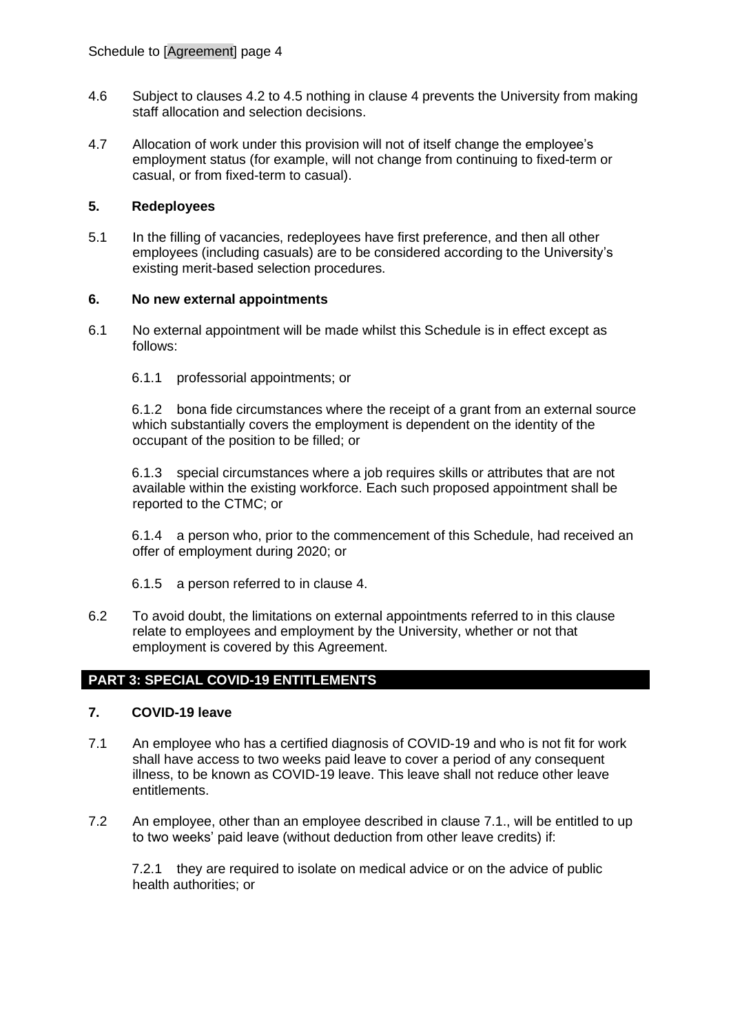- <span id="page-3-0"></span>4.6 Subject to clauses [4.2](#page-2-1) to [4.5](#page-2-2) nothing in clause 4 prevents the University from making staff allocation and selection decisions.
- 4.7 Allocation of work under this provision will not of itself change the employee's employment status (for example, will not change from continuing to fixed-term or casual, or from fixed-term to casual).

## **5. Redeployees**

5.1 In the filling of vacancies, redeployees have first preference, and then all other employees (including casuals) are to be considered according to the University's existing merit-based selection procedures.

### **6. No new external appointments**

- 6.1 No external appointment will be made whilst this Schedule is in effect except as follows:
	- 6.1.1 professorial appointments; or

6.1.2 bona fide circumstances where the receipt of a grant from an external source which substantially covers the employment is dependent on the identity of the occupant of the position to be filled; or

6.1.3 special circumstances where a job requires skills or attributes that are not available within the existing workforce. Each such proposed appointment shall be reported to the CTMC; or

6.1.4 a person who, prior to the commencement of this Schedule, had received an offer of employment during 2020; or

- 6.1.5 a person referred to in clause [4.](#page-2-3)
- 6.2 To avoid doubt, the limitations on external appointments referred to in this clause relate to employees and employment by the University, whether or not that employment is covered by this Agreement.

# **PART 3: SPECIAL COVID-19 ENTITLEMENTS**

### **7. COVID-19 leave**

- <span id="page-3-1"></span>7.1 An employee who has a certified diagnosis of COVID-19 and who is not fit for work shall have access to two weeks paid leave to cover a period of any consequent illness, to be known as COVID-19 leave. This leave shall not reduce other leave entitlements.
- <span id="page-3-2"></span>7.2 An employee, other than an employee described in clause [7.1.](#page-3-1), will be entitled to up to two weeks' paid leave (without deduction from other leave credits) if:

7.2.1 they are required to isolate on medical advice or on the advice of public health authorities; or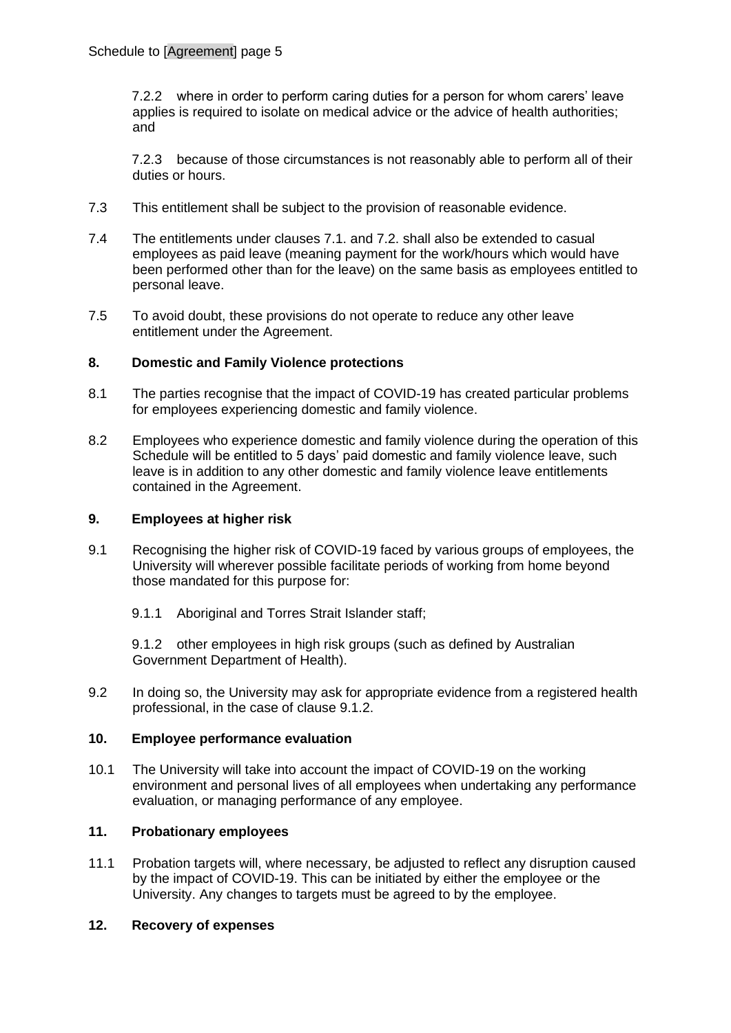7.2.2 where in order to perform caring duties for a person for whom carers' leave applies is required to isolate on medical advice or the advice of health authorities; and

7.2.3 because of those circumstances is not reasonably able to perform all of their duties or hours.

- 7.3 This entitlement shall be subject to the provision of reasonable evidence.
- 7.4 The entitlements under clauses [7.1.](#page-3-1) and [7.2.](#page-3-2) shall also be extended to casual employees as paid leave (meaning payment for the work/hours which would have been performed other than for the leave) on the same basis as employees entitled to personal leave.
- 7.5 To avoid doubt, these provisions do not operate to reduce any other leave entitlement under the Agreement.

## **8. Domestic and Family Violence protections**

- 8.1 The parties recognise that the impact of COVID-19 has created particular problems for employees experiencing domestic and family violence.
- 8.2 Employees who experience domestic and family violence during the operation of this Schedule will be entitled to 5 days' paid domestic and family violence leave, such leave is in addition to any other domestic and family violence leave entitlements contained in the Agreement.

### **9. Employees at higher risk**

- 9.1 Recognising the higher risk of COVID-19 faced by various groups of employees, the University will wherever possible facilitate periods of working from home beyond those mandated for this purpose for:
	- 9.1.1 Aboriginal and Torres Strait Islander staff;

<span id="page-4-0"></span>9.1.2 other employees in high risk groups (such as defined by Australian Government Department of Health).

9.2 In doing so, the University may ask for appropriate evidence from a registered health professional, in the case of clause [9.1.2.](#page-4-0)

## **10. Employee performance evaluation**

10.1 The University will take into account the impact of COVID-19 on the working environment and personal lives of all employees when undertaking any performance evaluation, or managing performance of any employee.

## **11. Probationary employees**

11.1 Probation targets will, where necessary, be adjusted to reflect any disruption caused by the impact of COVID-19. This can be initiated by either the employee or the University. Any changes to targets must be agreed to by the employee.

### **12. Recovery of expenses**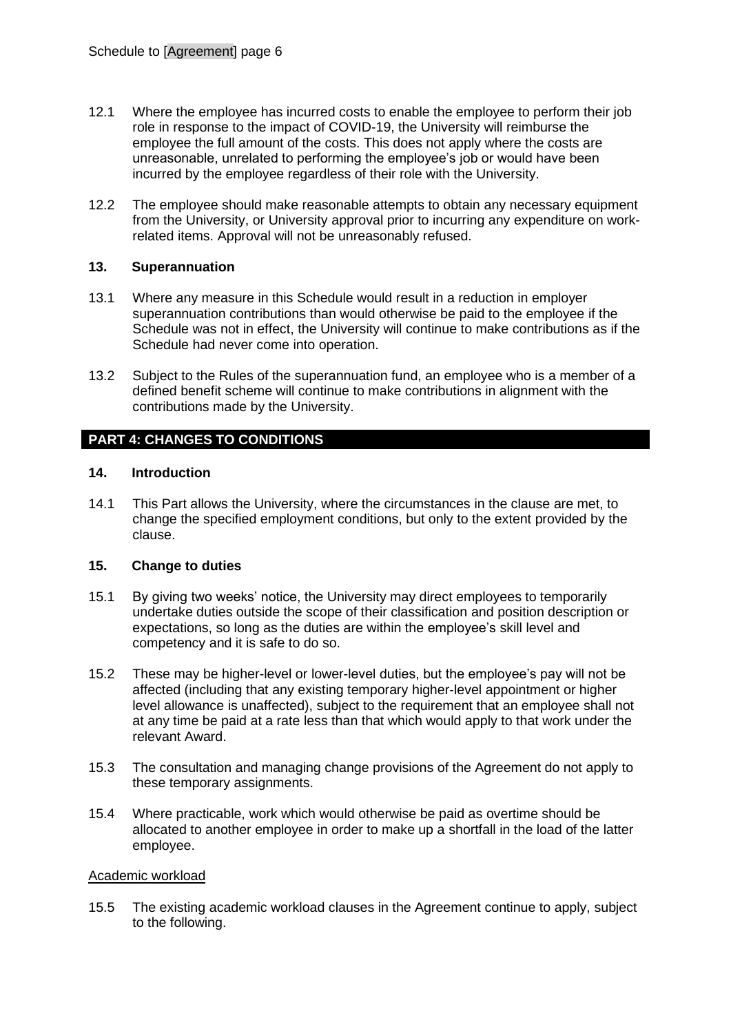- 12.1 Where the employee has incurred costs to enable the employee to perform their job role in response to the impact of COVID-19, the University will reimburse the employee the full amount of the costs. This does not apply where the costs are unreasonable, unrelated to performing the employee's job or would have been incurred by the employee regardless of their role with the University.
- 12.2 The employee should make reasonable attempts to obtain any necessary equipment from the University, or University approval prior to incurring any expenditure on workrelated items. Approval will not be unreasonably refused.

### **13. Superannuation**

- 13.1 Where any measure in this Schedule would result in a reduction in employer superannuation contributions than would otherwise be paid to the employee if the Schedule was not in effect, the University will continue to make contributions as if the Schedule had never come into operation.
- 13.2 Subject to the Rules of the superannuation fund, an employee who is a member of a defined benefit scheme will continue to make contributions in alignment with the contributions made by the University.

# **PART 4: CHANGES TO CONDITIONS**

### <span id="page-5-0"></span>**14. Introduction**

14.1 This Part allows the University, where the circumstances in the clause are met, to change the specified employment conditions, but only to the extent provided by the clause.

### <span id="page-5-1"></span>**15. Change to duties**

- 15.1 By giving two weeks' notice, the University may direct employees to temporarily undertake duties outside the scope of their classification and position description or expectations, so long as the duties are within the employee's skill level and competency and it is safe to do so.
- 15.2 These may be higher-level or lower-level duties, but the employee's pay will not be affected (including that any existing temporary higher-level appointment or higher level allowance is unaffected), subject to the requirement that an employee shall not at any time be paid at a rate less than that which would apply to that work under the relevant Award.
- 15.3 The consultation and managing change provisions of the Agreement do not apply to these temporary assignments.
- 15.4 Where practicable, work which would otherwise be paid as overtime should be allocated to another employee in order to make up a shortfall in the load of the latter employee.

### Academic workload

15.5 The existing academic workload clauses in the Agreement continue to apply, subject to the following.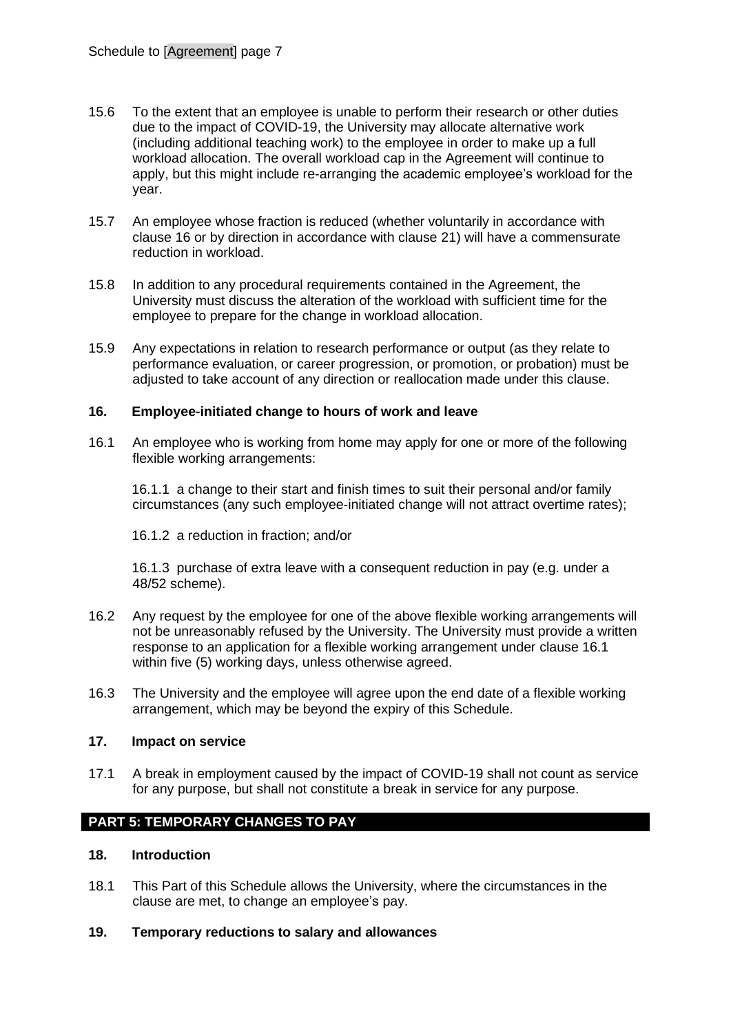- 15.6 To the extent that an employee is unable to perform their research or other duties due to the impact of COVID-19, the University may allocate alternative work (including additional teaching work) to the employee in order to make up a full workload allocation. The overall workload cap in the Agreement will continue to apply, but this might include re-arranging the academic employee's workload for the year.
- 15.7 An employee whose fraction is reduced (whether voluntarily in accordance with clause [16](#page-6-0) or by direction in accordance with clause [21\)](#page-7-0) will have a commensurate reduction in workload.
- 15.8 In addition to any procedural requirements contained in the Agreement, the University must discuss the alteration of the workload with sufficient time for the employee to prepare for the change in workload allocation.
- 15.9 Any expectations in relation to research performance or output (as they relate to performance evaluation, or career progression, or promotion, or probation) must be adjusted to take account of any direction or reallocation made under this clause.

### <span id="page-6-0"></span>**16. Employee-initiated change to hours of work and leave**

<span id="page-6-1"></span>16.1 An employee who is working from home may apply for one or more of the following flexible working arrangements:

16.1.1 a change to their start and finish times to suit their personal and/or family circumstances (any such employee-initiated change will not attract overtime rates);

16.1.2 a reduction in fraction; and/or

16.1.3 purchase of extra leave with a consequent reduction in pay (e.g. under a 48/52 scheme).

- 16.2 Any request by the employee for one of the above flexible working arrangements will not be unreasonably refused by the University. The University must provide a written response to an application for a flexible working arrangement under clause [16.1](#page-6-1) within five (5) working days, unless otherwise agreed.
- 16.3 The University and the employee will agree upon the end date of a flexible working arrangement, which may be beyond the expiry of this Schedule.

### **17. Impact on service**

17.1 A break in employment caused by the impact of COVID-19 shall not count as service for any purpose, but shall not constitute a break in service for any purpose.

# **PART 5: TEMPORARY CHANGES TO PAY**

### **18. Introduction**

18.1 This Part of this Schedule allows the University, where the circumstances in the clause are met, to change an employee's pay.

### <span id="page-6-2"></span>**19. Temporary reductions to salary and allowances**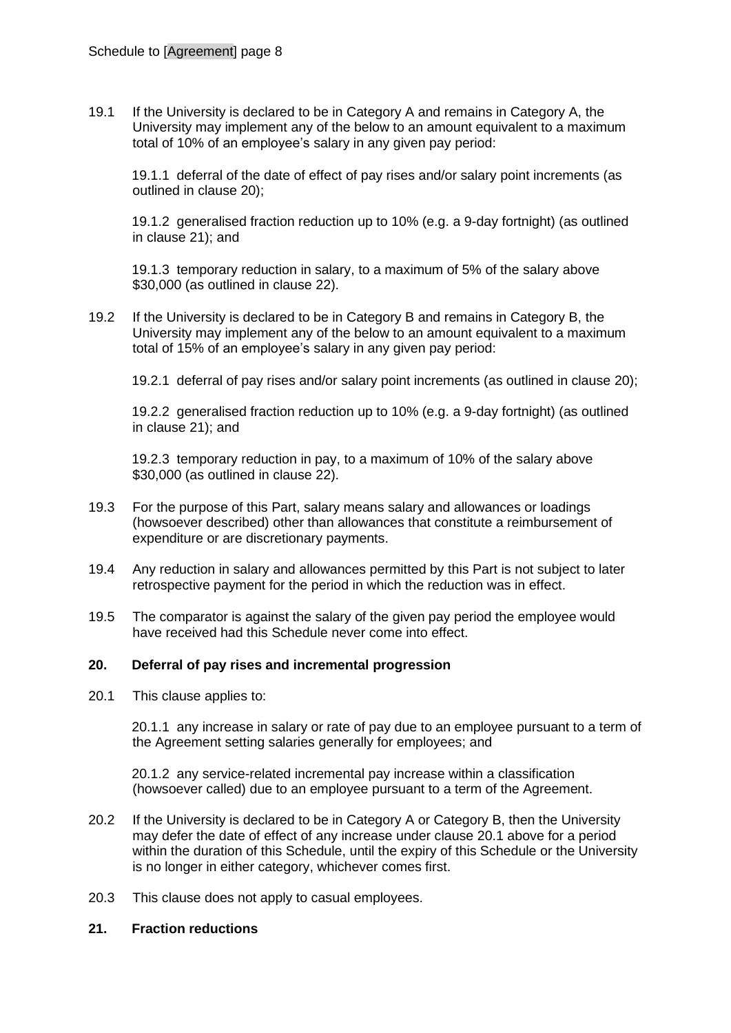19.1 If the University is declared to be in Category A and remains in Category A, the University may implement any of the below to an amount equivalent to a maximum total of 10% of an employee's salary in any given pay period:

19.1.1 deferral of the date of effect of pay rises and/or salary point increments (as outlined in clause [20\)](#page-7-1);

19.1.2 generalised fraction reduction up to 10% (e.g. a 9-day fortnight) (as outlined in clause [21\)](#page-7-0); and

19.1.3 temporary reduction in salary, to a maximum of 5% of the salary above \$30,000 (as outlined in clause [22\)](#page-8-0).

19.2 If the University is declared to be in Category B and remains in Category B, the University may implement any of the below to an amount equivalent to a maximum total of 15% of an employee's salary in any given pay period:

19.2.1 deferral of pay rises and/or salary point increments (as outlined in clause [20\)](#page-7-1);

19.2.2 generalised fraction reduction up to 10% (e.g. a 9-day fortnight) (as outlined in clause [21\)](#page-7-0); and

19.2.3 temporary reduction in pay, to a maximum of 10% of the salary above \$30,000 (as outlined in clause [22\)](#page-8-0).

- 19.3 For the purpose of this Part, salary means salary and allowances or loadings (howsoever described) other than allowances that constitute a reimbursement of expenditure or are discretionary payments.
- 19.4 Any reduction in salary and allowances permitted by this Part is not subject to later retrospective payment for the period in which the reduction was in effect.
- 19.5 The comparator is against the salary of the given pay period the employee would have received had this Schedule never come into effect.

### <span id="page-7-1"></span>**20. Deferral of pay rises and incremental progression**

<span id="page-7-2"></span>20.1 This clause applies to:

20.1.1 any increase in salary or rate of pay due to an employee pursuant to a term of the Agreement setting salaries generally for employees; and

20.1.2 any service-related incremental pay increase within a classification (howsoever called) due to an employee pursuant to a term of the Agreement.

- 20.2 If the University is declared to be in Category A or Category B, then the University may defer the date of effect of any increase under clause [20.1](#page-7-2) above for a period within the duration of this Schedule, until the expiry of this Schedule or the University is no longer in either category, whichever comes first.
- 20.3 This clause does not apply to casual employees.

## <span id="page-7-0"></span>**21. Fraction reductions**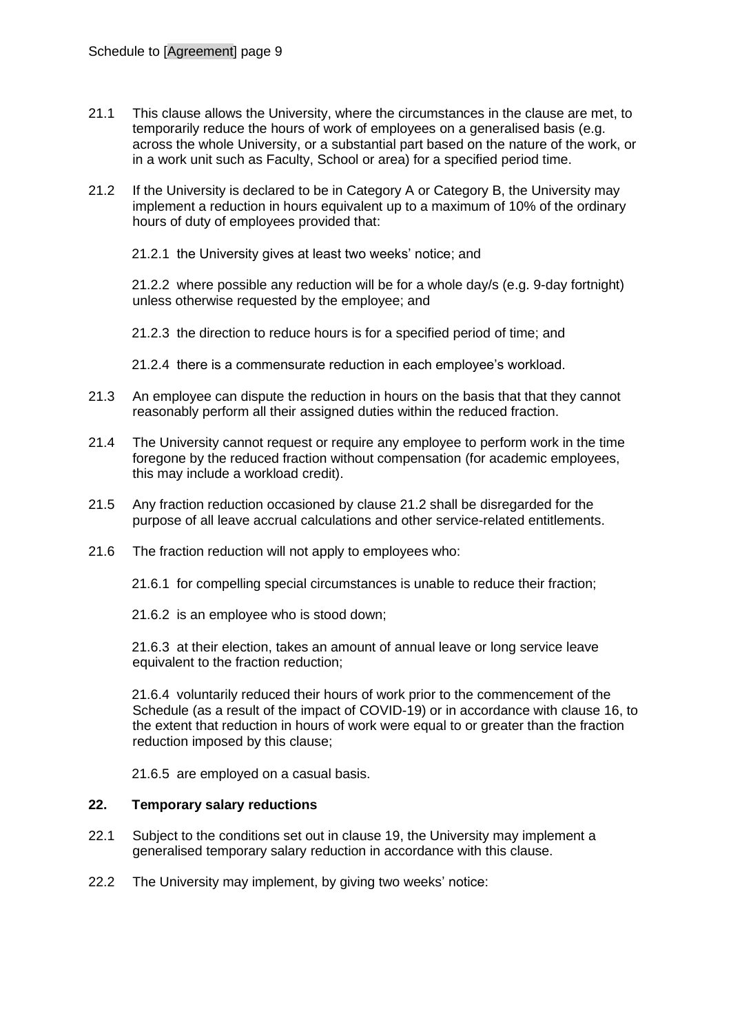- 21.1 This clause allows the University, where the circumstances in the clause are met, to temporarily reduce the hours of work of employees on a generalised basis (e.g. across the whole University, or a substantial part based on the nature of the work, or in a work unit such as Faculty, School or area) for a specified period time.
- <span id="page-8-1"></span>21.2 If the University is declared to be in Category A or Category B, the University may implement a reduction in hours equivalent up to a maximum of 10% of the ordinary hours of duty of employees provided that:
	- 21.2.1 the University gives at least two weeks' notice; and

21.2.2 where possible any reduction will be for a whole day/s (e.g. 9-day fortnight) unless otherwise requested by the employee; and

- 21.2.3 the direction to reduce hours is for a specified period of time; and
- 21.2.4 there is a commensurate reduction in each employee's workload.
- 21.3 An employee can dispute the reduction in hours on the basis that that they cannot reasonably perform all their assigned duties within the reduced fraction.
- 21.4 The University cannot request or require any employee to perform work in the time foregone by the reduced fraction without compensation (for academic employees, this may include a workload credit).
- 21.5 Any fraction reduction occasioned by clause [21.2](#page-8-1) shall be disregarded for the purpose of all leave accrual calculations and other service-related entitlements.
- 21.6 The fraction reduction will not apply to employees who:
	- 21.6.1 for compelling special circumstances is unable to reduce their fraction;
	- 21.6.2 is an employee who is stood down;

21.6.3 at their election, takes an amount of annual leave or long service leave equivalent to the fraction reduction;

21.6.4 voluntarily reduced their hours of work prior to the commencement of the Schedule (as a result of the impact of COVID-19) or in accordance with clause [16,](#page-6-0) to the extent that reduction in hours of work were equal to or greater than the fraction reduction imposed by this clause;

21.6.5 are employed on a casual basis.

### <span id="page-8-0"></span>**22. Temporary salary reductions**

- 22.1 Subject to the conditions set out in clause [19,](#page-6-2) the University may implement a generalised temporary salary reduction in accordance with this clause.
- 22.2 The University may implement, by giving two weeks' notice: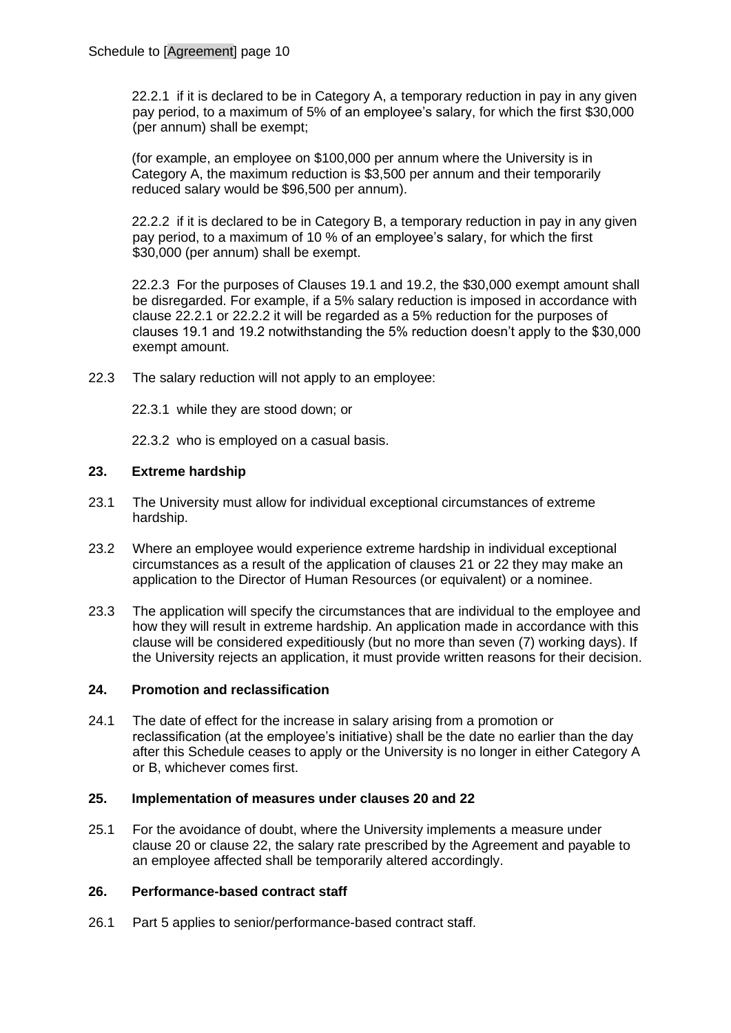22.2.1 if it is declared to be in Category A, a temporary reduction in pay in any given pay period, to a maximum of 5% of an employee's salary, for which the first \$30,000 (per annum) shall be exempt;

(for example, an employee on \$100,000 per annum where the University is in Category A, the maximum reduction is \$3,500 per annum and their temporarily reduced salary would be \$96,500 per annum).

22.2.2 if it is declared to be in Category B, a temporary reduction in pay in any given pay period, to a maximum of 10 % of an employee's salary, for which the first \$30,000 (per annum) shall be exempt.

22.2.3 For the purposes of Clauses 19.1 and 19.2, the \$30,000 exempt amount shall be disregarded. For example, if a 5% salary reduction is imposed in accordance with clause 22.2.1 or 22.2.2 it will be regarded as a 5% reduction for the purposes of clauses 19.1 and 19.2 notwithstanding the 5% reduction doesn't apply to the \$30,000 exempt amount.

- 22.3 The salary reduction will not apply to an employee:
	- 22.3.1 while they are stood down; or

22.3.2 who is employed on a casual basis.

### **23. Extreme hardship**

- 23.1 The University must allow for individual exceptional circumstances of extreme hardship.
- 23.2 Where an employee would experience extreme hardship in individual exceptional circumstances as a result of the application of clauses [21](#page-7-0) or [22](#page-8-0) they may make an application to the Director of Human Resources (or equivalent) or a nominee.
- 23.3 The application will specify the circumstances that are individual to the employee and how they will result in extreme hardship. An application made in accordance with this clause will be considered expeditiously (but no more than seven (7) working days). If the University rejects an application, it must provide written reasons for their decision.

#### **24. Promotion and reclassification**

24.1 The date of effect for the increase in salary arising from a promotion or reclassification (at the employee's initiative) shall be the date no earlier than the day after this Schedule ceases to apply or the University is no longer in either Category A or B, whichever comes first.

#### **25. Implementation of measures under clauses 20 and 22**

25.1 For the avoidance of doubt, where the University implements a measure under clause 20 or clause 22, the salary rate prescribed by the Agreement and payable to an employee affected shall be temporarily altered accordingly.

#### **26. Performance-based contract staff**

26.1 Part 5 applies to senior/performance-based contract staff.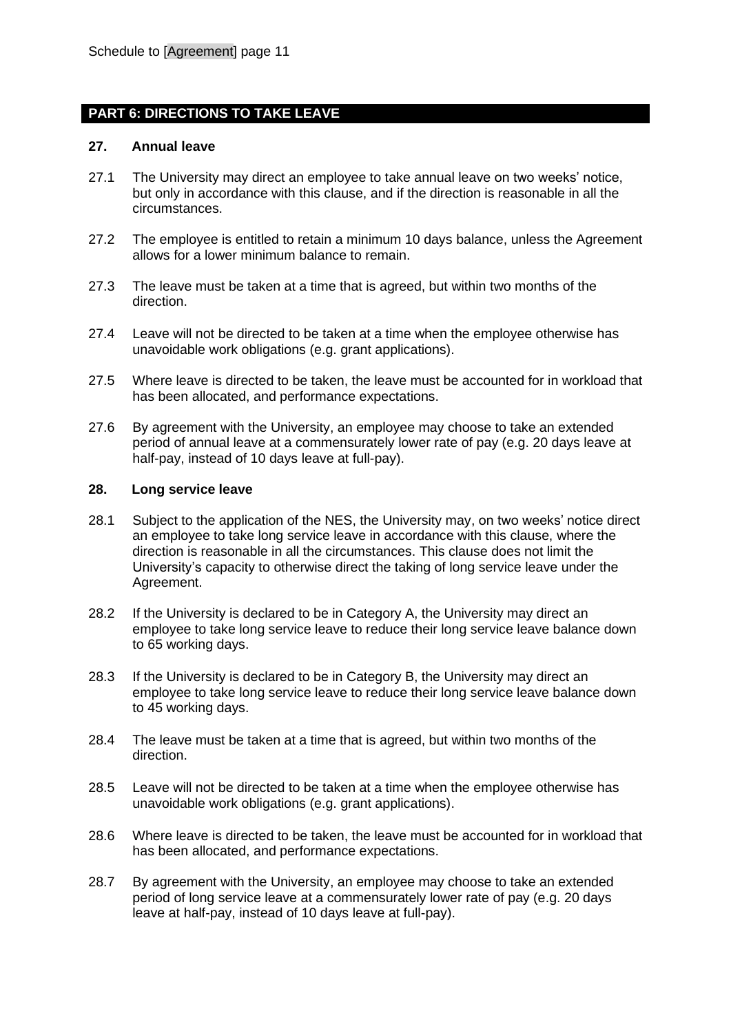### **PART 6: DIRECTIONS TO TAKE LEAVE**

### **27. Annual leave**

- 27.1 The University may direct an employee to take annual leave on two weeks' notice, but only in accordance with this clause, and if the direction is reasonable in all the circumstances.
- 27.2 The employee is entitled to retain a minimum 10 days balance, unless the Agreement allows for a lower minimum balance to remain.
- 27.3 The leave must be taken at a time that is agreed, but within two months of the direction.
- 27.4 Leave will not be directed to be taken at a time when the employee otherwise has unavoidable work obligations (e.g. grant applications).
- 27.5 Where leave is directed to be taken, the leave must be accounted for in workload that has been allocated, and performance expectations.
- 27.6 By agreement with the University, an employee may choose to take an extended period of annual leave at a commensurately lower rate of pay (e.g. 20 days leave at half-pay, instead of 10 days leave at full-pay).

#### **28. Long service leave**

- 28.1 Subject to the application of the NES, the University may, on two weeks' notice direct an employee to take long service leave in accordance with this clause, where the direction is reasonable in all the circumstances. This clause does not limit the University's capacity to otherwise direct the taking of long service leave under the Agreement.
- 28.2 If the University is declared to be in Category A, the University may direct an employee to take long service leave to reduce their long service leave balance down to 65 working days.
- 28.3 If the University is declared to be in Category B, the University may direct an employee to take long service leave to reduce their long service leave balance down to 45 working days.
- 28.4 The leave must be taken at a time that is agreed, but within two months of the direction.
- 28.5 Leave will not be directed to be taken at a time when the employee otherwise has unavoidable work obligations (e.g. grant applications).
- 28.6 Where leave is directed to be taken, the leave must be accounted for in workload that has been allocated, and performance expectations.
- 28.7 By agreement with the University, an employee may choose to take an extended period of long service leave at a commensurately lower rate of pay (e.g. 20 days leave at half-pay, instead of 10 days leave at full-pay).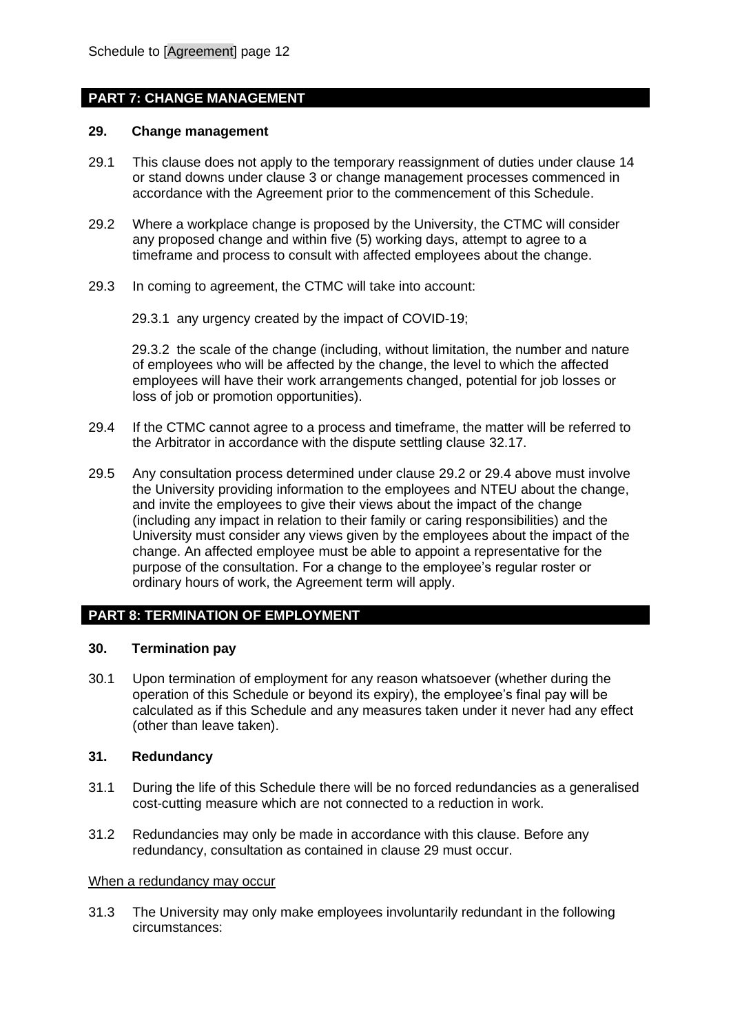## **PART 7: CHANGE MANAGEMENT**

#### **29. Change management**

- 29.1 This clause does not apply to the temporary reassignment of duties under clause [14](#page-5-0) or stand downs under clause [3](#page-1-1) or change management processes commenced in accordance with the Agreement prior to the commencement of this Schedule.
- <span id="page-11-0"></span>29.2 Where a workplace change is proposed by the University, the CTMC will consider any proposed change and within five (5) working days, attempt to agree to a timeframe and process to consult with affected employees about the change.
- 29.3 In coming to agreement, the CTMC will take into account:
	- 29.3.1 any urgency created by the impact of COVID-19;

29.3.2 the scale of the change (including, without limitation, the number and nature of employees who will be affected by the change, the level to which the affected employees will have their work arrangements changed, potential for job losses or loss of job or promotion opportunities).

- <span id="page-11-1"></span>29.4 If the CTMC cannot agree to a process and timeframe, the matter will be referred to the Arbitrator in accordance with the dispute settling clause [32.17.](#page-15-0)
- 29.5 Any consultation process determined under clause [29.2](#page-11-0) or [29.4](#page-11-1) above must involve the University providing information to the employees and NTEU about the change, and invite the employees to give their views about the impact of the change (including any impact in relation to their family or caring responsibilities) and the University must consider any views given by the employees about the impact of the change. An affected employee must be able to appoint a representative for the purpose of the consultation. For a change to the employee's regular roster or ordinary hours of work, the Agreement term will apply.

### **PART 8: TERMINATION OF EMPLOYMENT**

#### **30. Termination pay**

30.1 Upon termination of employment for any reason whatsoever (whether during the operation of this Schedule or beyond its expiry), the employee's final pay will be calculated as if this Schedule and any measures taken under it never had any effect (other than leave taken).

### **31. Redundancy**

- 31.1 During the life of this Schedule there will be no forced redundancies as a generalised cost-cutting measure which are not connected to a reduction in work.
- 31.2 Redundancies may only be made in accordance with this clause. Before any redundancy, consultation as contained in clause 29 must occur.

#### When a redundancy may occur

31.3 The University may only make employees involuntarily redundant in the following circumstances: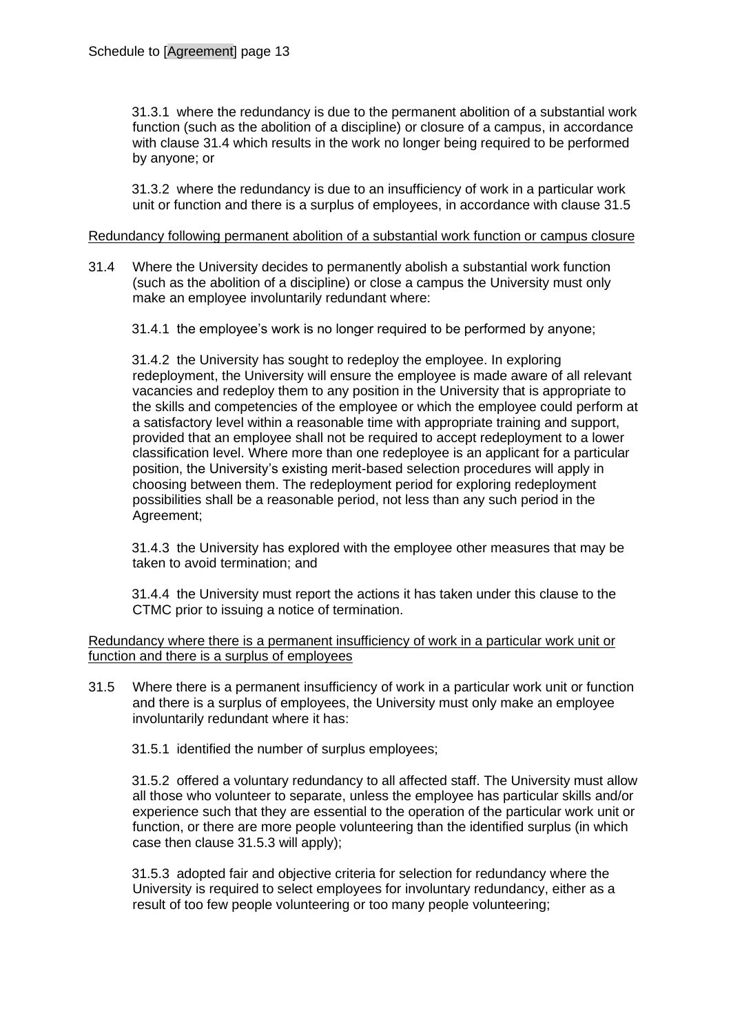31.3.1 where the redundancy is due to the permanent abolition of a substantial work function (such as the abolition of a discipline) or closure of a campus, in accordance with clause [31.4](#page-12-0) which results in the work no longer being required to be performed by anyone; or

31.3.2 where the redundancy is due to an insufficiency of work in a particular work unit or function and there is a surplus of employees, in accordance with clause [31.5](#page-12-1)

#### Redundancy following permanent abolition of a substantial work function or campus closure

- <span id="page-12-0"></span>31.4 Where the University decides to permanently abolish a substantial work function (such as the abolition of a discipline) or close a campus the University must only make an employee involuntarily redundant where:
	- 31.4.1 the employee's work is no longer required to be performed by anyone;

31.4.2 the University has sought to redeploy the employee. In exploring redeployment, the University will ensure the employee is made aware of all relevant vacancies and redeploy them to any position in the University that is appropriate to the skills and competencies of the employee or which the employee could perform at a satisfactory level within a reasonable time with appropriate training and support, provided that an employee shall not be required to accept redeployment to a lower classification level. Where more than one redeployee is an applicant for a particular position, the University's existing merit-based selection procedures will apply in choosing between them. The redeployment period for exploring redeployment possibilities shall be a reasonable period, not less than any such period in the Agreement;

31.4.3 the University has explored with the employee other measures that may be taken to avoid termination; and

31.4.4 the University must report the actions it has taken under this clause to the CTMC prior to issuing a notice of termination.

Redundancy where there is a permanent insufficiency of work in a particular work unit or function and there is a surplus of employees

- <span id="page-12-1"></span>31.5 Where there is a permanent insufficiency of work in a particular work unit or function and there is a surplus of employees, the University must only make an employee involuntarily redundant where it has:
	- 31.5.1 identified the number of surplus employees;

31.5.2 offered a voluntary redundancy to all affected staff. The University must allow all those who volunteer to separate, unless the employee has particular skills and/or experience such that they are essential to the operation of the particular work unit or function, or there are more people volunteering than the identified surplus (in which case then clause [31.5.3](#page-12-2) will apply);

<span id="page-12-2"></span>31.5.3 adopted fair and objective criteria for selection for redundancy where the University is required to select employees for involuntary redundancy, either as a result of too few people volunteering or too many people volunteering;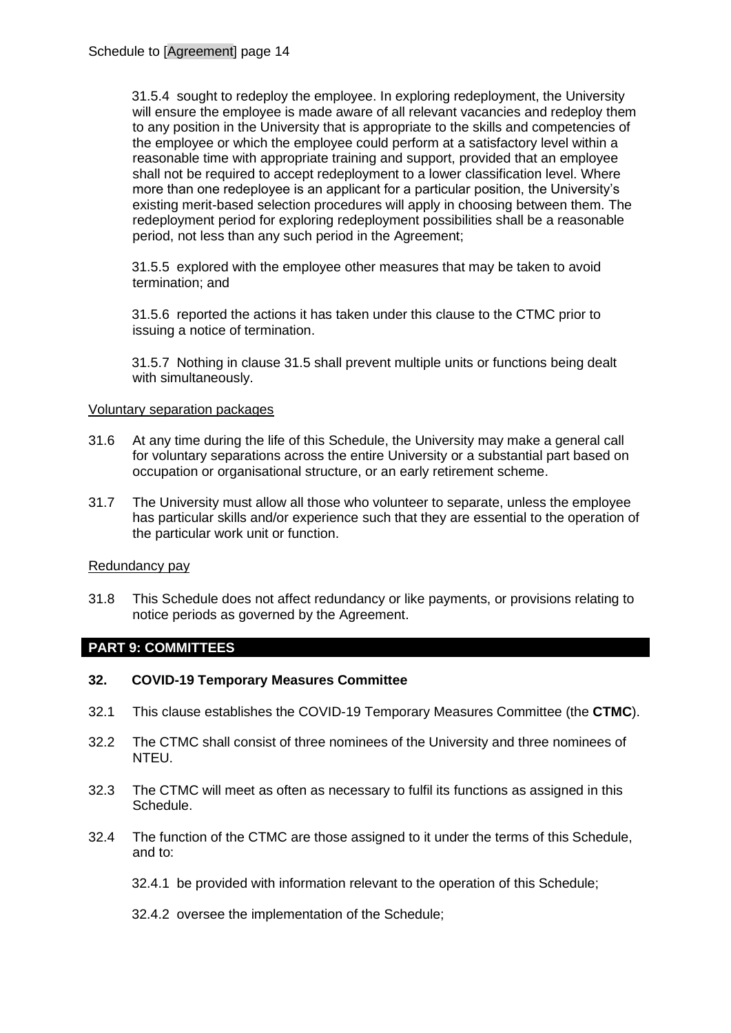31.5.4 sought to redeploy the employee. In exploring redeployment, the University will ensure the employee is made aware of all relevant vacancies and redeploy them to any position in the University that is appropriate to the skills and competencies of the employee or which the employee could perform at a satisfactory level within a reasonable time with appropriate training and support, provided that an employee shall not be required to accept redeployment to a lower classification level. Where more than one redeployee is an applicant for a particular position, the University's existing merit-based selection procedures will apply in choosing between them. The redeployment period for exploring redeployment possibilities shall be a reasonable period, not less than any such period in the Agreement;

31.5.5 explored with the employee other measures that may be taken to avoid termination; and

31.5.6 reported the actions it has taken under this clause to the CTMC prior to issuing a notice of termination.

31.5.7 Nothing in clause [31.5](#page-12-1) shall prevent multiple units or functions being dealt with simultaneously.

#### Voluntary separation packages

- 31.6 At any time during the life of this Schedule, the University may make a general call for voluntary separations across the entire University or a substantial part based on occupation or organisational structure, or an early retirement scheme.
- 31.7 The University must allow all those who volunteer to separate, unless the employee has particular skills and/or experience such that they are essential to the operation of the particular work unit or function.

#### Redundancy pay

31.8 This Schedule does not affect redundancy or like payments, or provisions relating to notice periods as governed by the Agreement.

### **PART 9: COMMITTEES**

### <span id="page-13-0"></span>**32. COVID-19 Temporary Measures Committee**

- 32.1 This clause establishes the COVID-19 Temporary Measures Committee (the **CTMC**).
- 32.2 The CTMC shall consist of three nominees of the University and three nominees of NTEU.
- 32.3 The CTMC will meet as often as necessary to fulfil its functions as assigned in this Schedule.
- 32.4 The function of the CTMC are those assigned to it under the terms of this Schedule, and to:
	- 32.4.1 be provided with information relevant to the operation of this Schedule;
	- 32.4.2 oversee the implementation of the Schedule;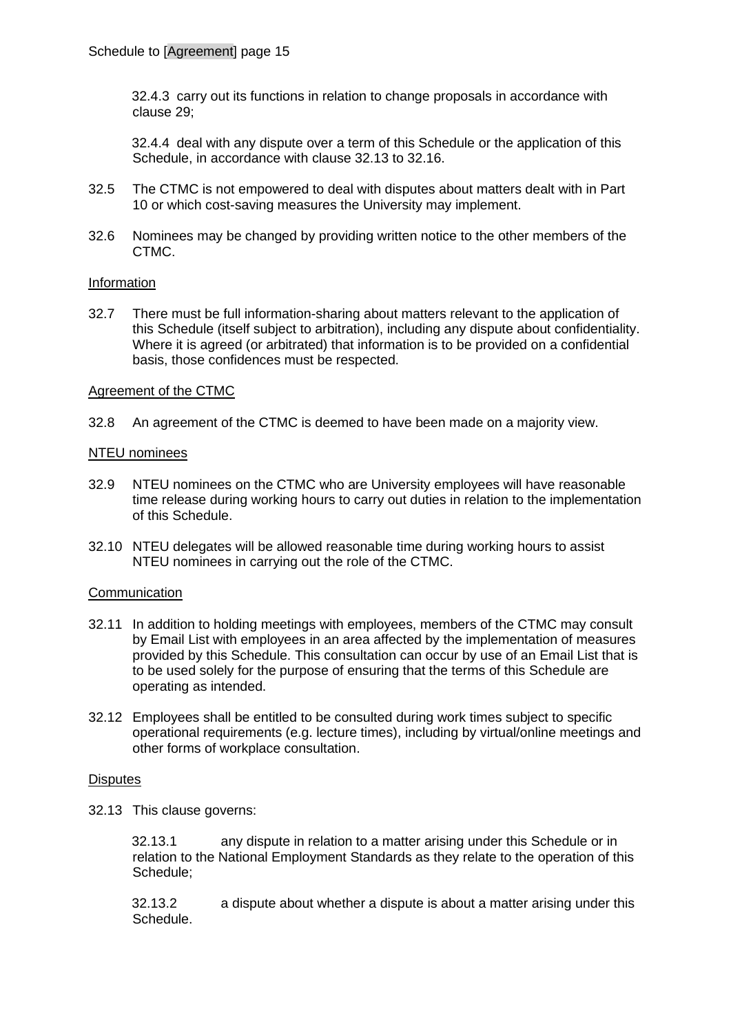32.4.3 carry out its functions in relation to change proposals in accordance with clause 29;

32.4.4 deal with any dispute over a term of this Schedule or the application of this Schedule, in accordance with clause [32.13](#page-14-0) to 32.16.

- 32.5 The CTMC is not empowered to deal with disputes about matters dealt with in Part 10 or which cost-saving measures the University may implement.
- 32.6 Nominees may be changed by providing written notice to the other members of the CTMC.

#### Information

32.7 There must be full information-sharing about matters relevant to the application of this Schedule (itself subject to arbitration), including any dispute about confidentiality. Where it is agreed (or arbitrated) that information is to be provided on a confidential basis, those confidences must be respected.

### Agreement of the CTMC

32.8 An agreement of the CTMC is deemed to have been made on a majority view.

#### NTEU nominees

- 32.9 NTEU nominees on the CTMC who are University employees will have reasonable time release during working hours to carry out duties in relation to the implementation of this Schedule.
- 32.10 NTEU delegates will be allowed reasonable time during working hours to assist NTEU nominees in carrying out the role of the CTMC.

#### **Communication**

- 32.11 In addition to holding meetings with employees, members of the CTMC may consult by Email List with employees in an area affected by the implementation of measures provided by this Schedule. This consultation can occur by use of an Email List that is to be used solely for the purpose of ensuring that the terms of this Schedule are operating as intended.
- 32.12 Employees shall be entitled to be consulted during work times subject to specific operational requirements (e.g. lecture times), including by virtual/online meetings and other forms of workplace consultation.

#### **Disputes**

<span id="page-14-0"></span>32.13 This clause governs:

32.13.1 any dispute in relation to a matter arising under this Schedule or in relation to the National Employment Standards as they relate to the operation of this Schedule;

32.13.2 a dispute about whether a dispute is about a matter arising under this Schedule.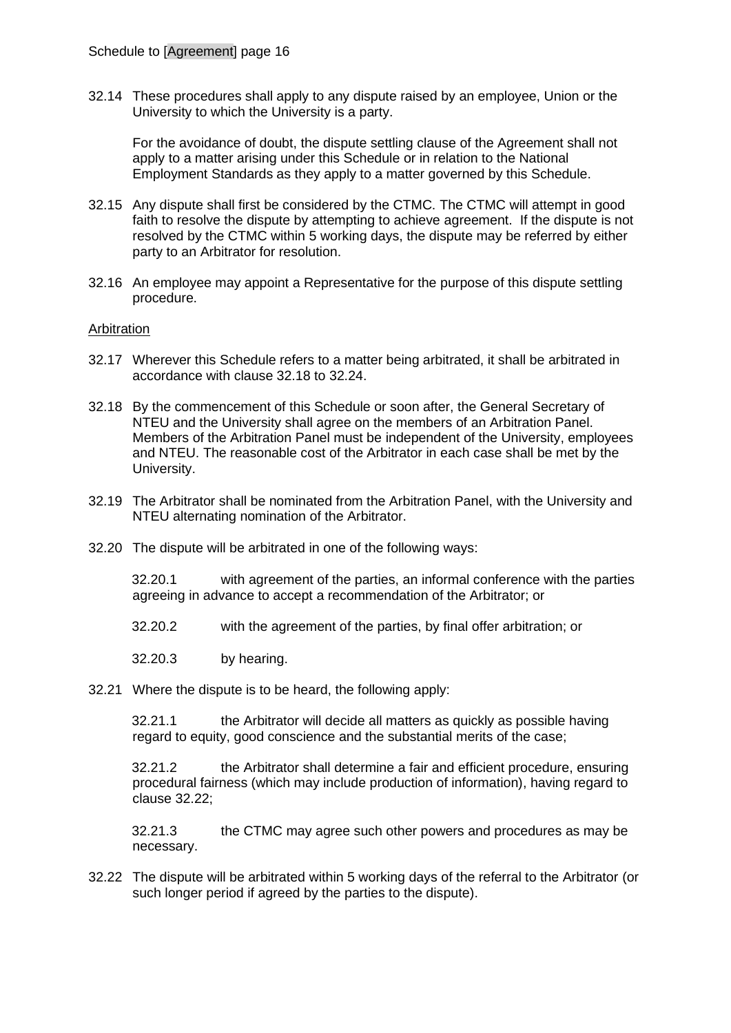32.14 These procedures shall apply to any dispute raised by an employee, Union or the University to which the University is a party.

For the avoidance of doubt, the dispute settling clause of the Agreement shall not apply to a matter arising under this Schedule or in relation to the National Employment Standards as they apply to a matter governed by this Schedule.

- 32.15 Any dispute shall first be considered by the CTMC. The CTMC will attempt in good faith to resolve the dispute by attempting to achieve agreement. If the dispute is not resolved by the CTMC within 5 working days, the dispute may be referred by either party to an Arbitrator for resolution.
- 32.16 An employee may appoint a Representative for the purpose of this dispute settling procedure.

### Arbitration

- <span id="page-15-0"></span>32.17 Wherever this Schedule refers to a matter being arbitrated, it shall be arbitrated in accordance with clause 32.18 to 32.24.
- 32.18 By the commencement of this Schedule or soon after, the General Secretary of NTEU and the University shall agree on the members of an Arbitration Panel. Members of the Arbitration Panel must be independent of the University, employees and NTEU. The reasonable cost of the Arbitrator in each case shall be met by the University.
- 32.19 The Arbitrator shall be nominated from the Arbitration Panel, with the University and NTEU alternating nomination of the Arbitrator.
- 32.20 The dispute will be arbitrated in one of the following ways:

32.20.1 with agreement of the parties, an informal conference with the parties agreeing in advance to accept a recommendation of the Arbitrator; or

32.20.2 with the agreement of the parties, by final offer arbitration; or

- 32.20.3 by hearing.
- 32.21 Where the dispute is to be heard, the following apply:

32.21.1 the Arbitrator will decide all matters as quickly as possible having regard to equity, good conscience and the substantial merits of the case;

32.21.2 the Arbitrator shall determine a fair and efficient procedure, ensuring procedural fairness (which may include production of information), having regard to clause [32.22;](#page-15-1)

32.21.3 the CTMC may agree such other powers and procedures as may be necessary.

<span id="page-15-1"></span>32.22 The dispute will be arbitrated within 5 working days of the referral to the Arbitrator (or such longer period if agreed by the parties to the dispute).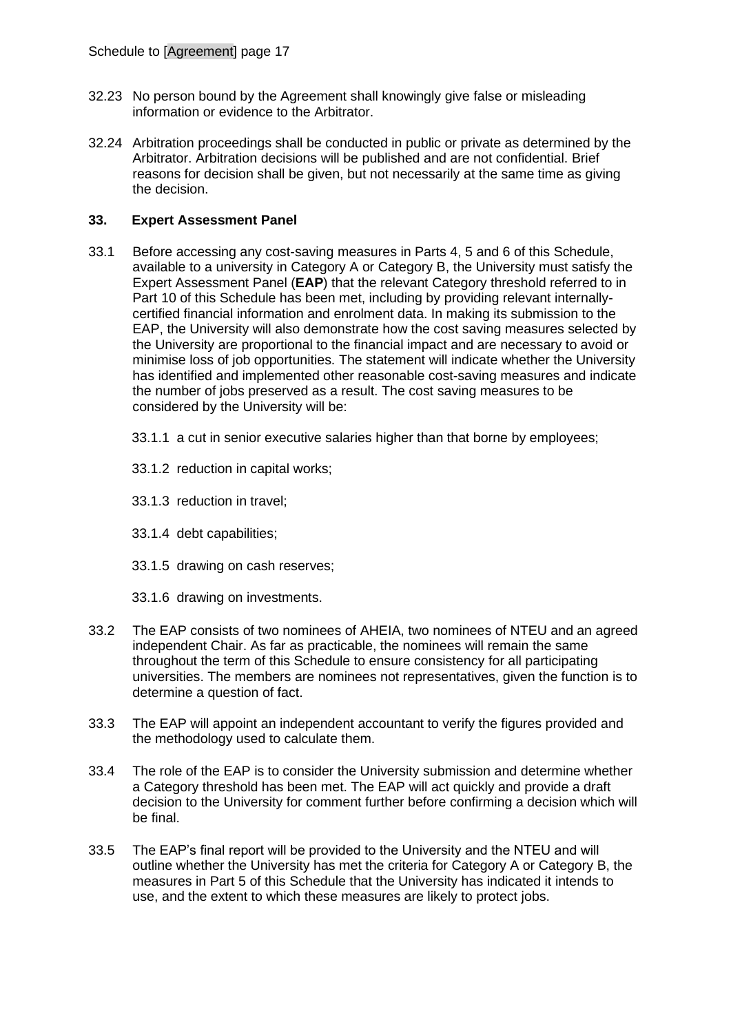- 32.23 No person bound by the Agreement shall knowingly give false or misleading information or evidence to the Arbitrator.
- 32.24 Arbitration proceedings shall be conducted in public or private as determined by the Arbitrator. Arbitration decisions will be published and are not confidential. Brief reasons for decision shall be given, but not necessarily at the same time as giving the decision.

## <span id="page-16-0"></span>**33. Expert Assessment Panel**

- 33.1 Before accessing any cost-saving measures in Parts 4, 5 and 6 of this Schedule, available to a university in Category A or Category B, the University must satisfy the Expert Assessment Panel (**EAP**) that the relevant Category threshold referred to in Part 10 of this Schedule has been met, including by providing relevant internallycertified financial information and enrolment data. In making its submission to the EAP, the University will also demonstrate how the cost saving measures selected by the University are proportional to the financial impact and are necessary to avoid or minimise loss of job opportunities. The statement will indicate whether the University has identified and implemented other reasonable cost-saving measures and indicate the number of jobs preserved as a result. The cost saving measures to be considered by the University will be:
	- 33.1.1 a cut in senior executive salaries higher than that borne by employees;
	- 33.1.2 reduction in capital works;
	- 33.1.3 reduction in travel;
	- 33.1.4 debt capabilities;
	- 33.1.5 drawing on cash reserves;
	- 33.1.6 drawing on investments.
- 33.2 The EAP consists of two nominees of AHEIA, two nominees of NTEU and an agreed independent Chair. As far as practicable, the nominees will remain the same throughout the term of this Schedule to ensure consistency for all participating universities. The members are nominees not representatives, given the function is to determine a question of fact.
- 33.3 The EAP will appoint an independent accountant to verify the figures provided and the methodology used to calculate them.
- 33.4 The role of the EAP is to consider the University submission and determine whether a Category threshold has been met. The EAP will act quickly and provide a draft decision to the University for comment further before confirming a decision which will be final.
- 33.5 The EAP's final report will be provided to the University and the NTEU and will outline whether the University has met the criteria for Category A or Category B, the measures in Part 5 of this Schedule that the University has indicated it intends to use, and the extent to which these measures are likely to protect jobs.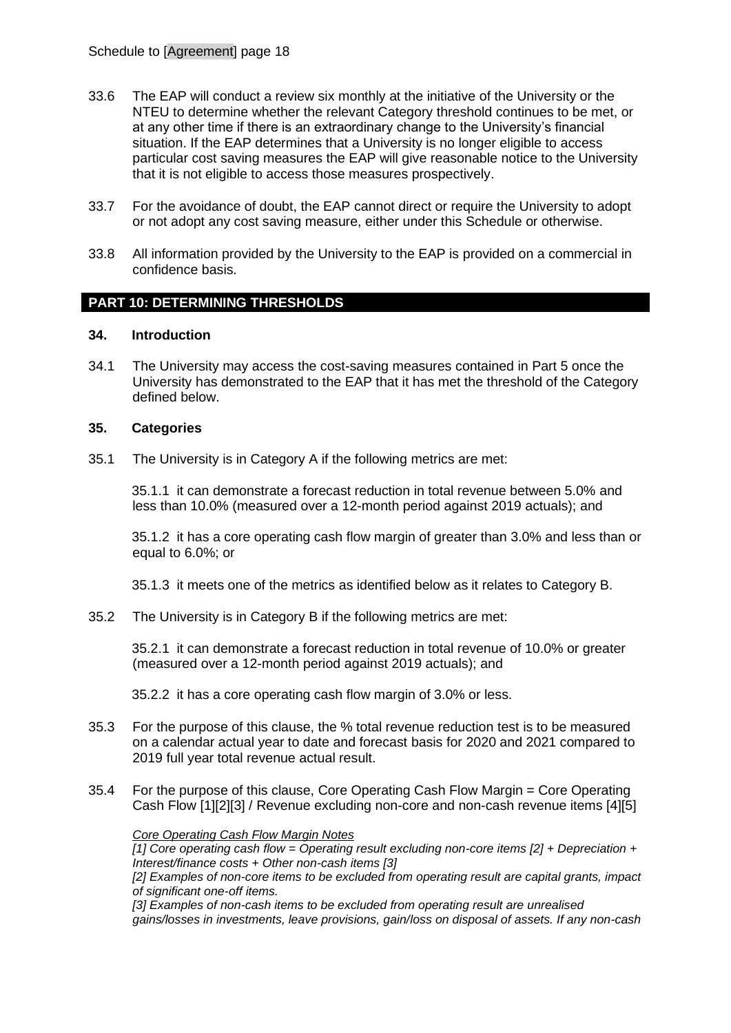- 33.6 The EAP will conduct a review six monthly at the initiative of the University or the NTEU to determine whether the relevant Category threshold continues to be met, or at any other time if there is an extraordinary change to the University's financial situation. If the EAP determines that a University is no longer eligible to access particular cost saving measures the EAP will give reasonable notice to the University that it is not eligible to access those measures prospectively.
- 33.7 For the avoidance of doubt, the EAP cannot direct or require the University to adopt or not adopt any cost saving measure, either under this Schedule or otherwise.
- 33.8 All information provided by the University to the EAP is provided on a commercial in confidence basis.

## **PART 10: DETERMINING THRESHOLDS**

### **34. Introduction**

34.1 The University may access the cost-saving measures contained in Part 5 once the University has demonstrated to the EAP that it has met the threshold of the Category defined below.

### **35. Categories**

<span id="page-17-0"></span>35.1 The University is in Category A if the following metrics are met:

35.1.1 it can demonstrate a forecast reduction in total revenue between 5.0% and less than 10.0% (measured over a 12-month period against 2019 actuals); and

35.1.2 it has a core operating cash flow margin of greater than 3.0% and less than or equal to 6.0%; or

35.1.3 it meets one of the metrics as identified below as it relates to Category B.

<span id="page-17-1"></span>35.2 The University is in Category B if the following metrics are met:

35.2.1 it can demonstrate a forecast reduction in total revenue of 10.0% or greater (measured over a 12-month period against 2019 actuals); and

35.2.2 it has a core operating cash flow margin of 3.0% or less.

- 35.3 For the purpose of this clause, the % total revenue reduction test is to be measured on a calendar actual year to date and forecast basis for 2020 and 2021 compared to 2019 full year total revenue actual result.
- 35.4 For the purpose of this clause, Core Operating Cash Flow Margin = Core Operating Cash Flow [1][2][3] / Revenue excluding non-core and non-cash revenue items [4][5]

#### *Core Operating Cash Flow Margin Notes*

*[1] Core operating cash flow = Operating result excluding non-core items [2] + Depreciation + Interest/finance costs + Other non-cash items [3] [2] Examples of non-core items to be excluded from operating result are capital grants, impact* 

*of significant one-off items.*

*[3] Examples of non-cash items to be excluded from operating result are unrealised gains/losses in investments, leave provisions, gain/loss on disposal of assets. If any non-cash*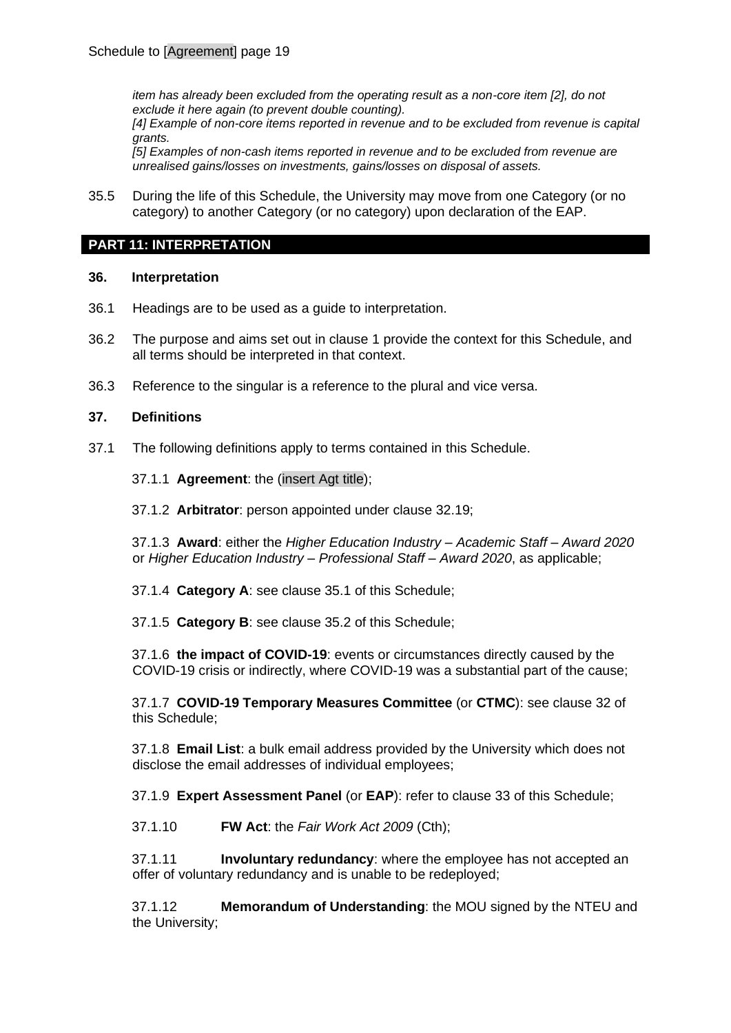*item has already been excluded from the operating result as a non-core item [2], do not exclude it here again (to prevent double counting). [4] Example of non-core items reported in revenue and to be excluded from revenue is capital grants. [5] Examples of non-cash items reported in revenue and to be excluded from revenue are* 

*unrealised gains/losses on investments, gains/losses on disposal of assets.*

35.5 During the life of this Schedule, the University may move from one Category (or no category) to another Category (or no category) upon declaration of the EAP.

### **PART 11: INTERPRETATION**

### **36. Interpretation**

- 36.1 Headings are to be used as a guide to interpretation.
- 36.2 The purpose and aims set out in clause [1](#page-0-0) provide the context for this Schedule, and all terms should be interpreted in that context.
- 36.3 Reference to the singular is a reference to the plural and vice versa.

#### **37. Definitions**

37.1 The following definitions apply to terms contained in this Schedule.

37.1.1 **Agreement**: the (insert Agt title);

37.1.2 **Arbitrator**: person appointed under clause 32.19;

37.1.3 **Award**: either the *Higher Education Industry – Academic Staff – Award 2020* or *Higher Education Industry – Professional Staff – Award 2020*, as applicable;

37.1.4 **Category A**: see clause [35.1](#page-17-0) of this Schedule;

37.1.5 **Category B**: see clause [35.2](#page-17-1) of this Schedule;

37.1.6 **the impact of COVID-19**: events or circumstances directly caused by the COVID-19 crisis or indirectly, where COVID-19 was a substantial part of the cause;

37.1.7 **COVID-19 Temporary Measures Committee** (or **CTMC**): see clause [32](#page-13-0) of this Schedule;

37.1.8 **Email List**: a bulk email address provided by the University which does not disclose the email addresses of individual employees;

37.1.9 **Expert Assessment Panel** (or **EAP**): refer to clause [33](#page-16-0) of this Schedule;

37.1.10 **FW Act**: the *Fair Work Act 2009* (Cth);

37.1.11 **Involuntary redundancy**: where the employee has not accepted an offer of voluntary redundancy and is unable to be redeployed;

37.1.12 **Memorandum of Understanding**: the MOU signed by the NTEU and the University;